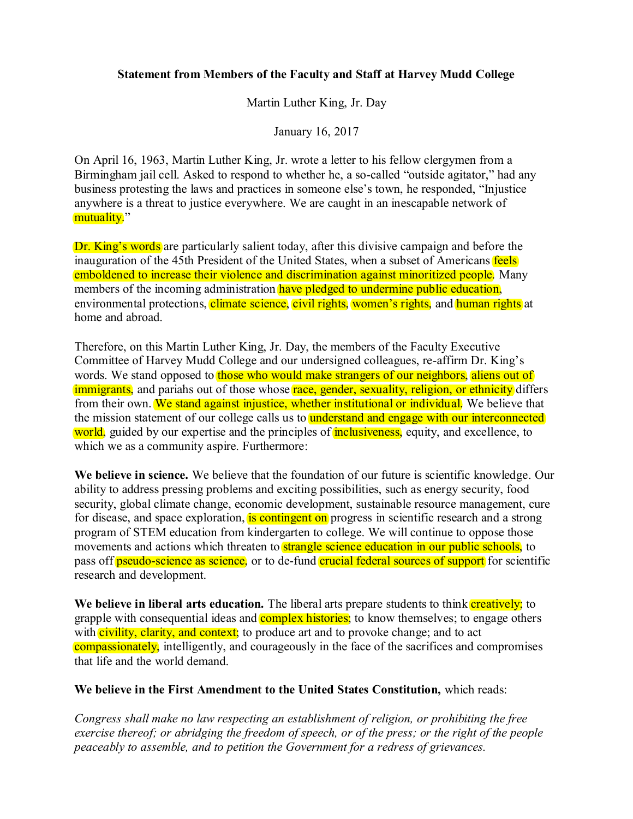## **Statement from Members of the Faculty and Staff at Harvey Mudd College**

Martin Luther King, Jr. Day

January 16, 2017

On April 16, 1963, Martin Luther King, Jr. wrote a letter to his fellow clergymen from a Birmingham jail cell. Asked to respond to whether he, a so-called "outside agitator," had any business protesting the laws and practices in someone else's town, he responded, "Injustice anywhere is a threat to justice everywhere. We are caught in an inescapable network of mutuality."

Dr. King's words are particularly salient today, after this divisive campaign and before the inauguration of the 45th President of the United States, when a subset of Americans feels emboldened to increase their violence and discrimination against minoritized people. Many members of the incoming administration have pledged to undermine public education, environmental protections, climate science, civil rights, women's rights, and human rights at home and abroad.

Therefore, on this Martin Luther King, Jr. Day, the members of the Faculty Executive Committee of Harvey Mudd College and our undersigned colleagues, re-affirm Dr. King's words. We stand opposed to those who would make strangers of our neighbors, aliens out of immigrants, and pariahs out of those whose race, gender, sexuality, religion, or ethnicity differs from their own. We stand against injustice, whether institutional or individual. We believe that the mission statement of our college calls us to **understand and engage with our interconnected** world, guided by our expertise and the principles of **inclusiveness**, equity, and excellence, to which we as a community aspire. Furthermore:

**We believe in science.** We believe that the foundation of our future is scientific knowledge. Our ability to address pressing problems and exciting possibilities, such as energy security, food security, global climate change, economic development, sustainable resource management, cure for disease, and space exploration, is contingent on progress in scientific research and a strong program of STEM education from kindergarten to college. We will continue to oppose those movements and actions which threaten to **strangle science education in our public schools**, to pass off pseudo-science as science, or to de-fund crucial federal sources of support for scientific research and development.

We believe in liberal arts education. The liberal arts prepare students to think **creatively**; to grapple with consequential ideas and **complex histories**; to know themselves; to engage others with civility, clarity, and context; to produce art and to provoke change; and to act compassionately, intelligently, and courageously in the face of the sacrifices and compromises that life and the world demand.

## **We believe in the First Amendment to the United States Constitution,** which reads:

*Congress shall make no law respecting an establishment of religion, or prohibiting the free exercise thereof; or abridging the freedom of speech, or of the press; or the right of the people peaceably to assemble, and to petition the Government for a redress of grievances.*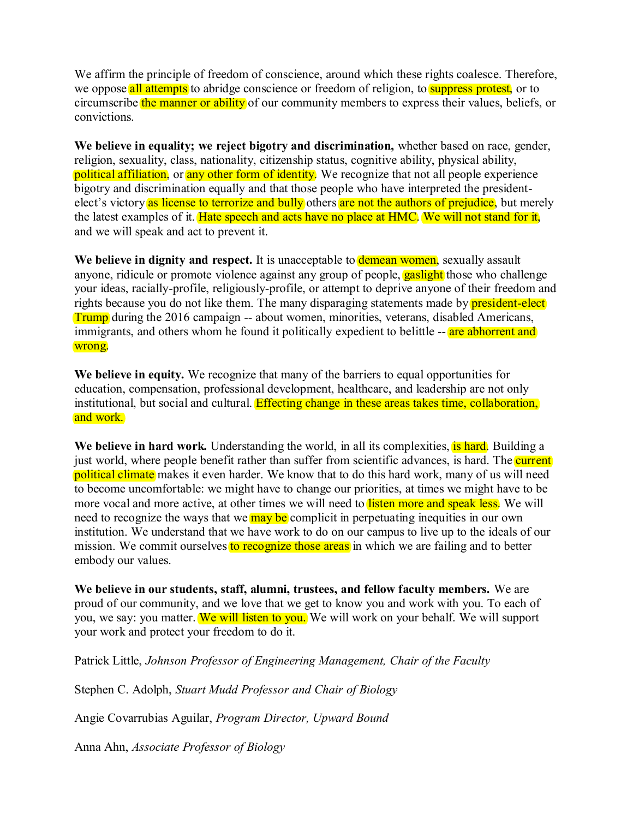We affirm the principle of freedom of conscience, around which these rights coalesce. Therefore, we oppose all attempts to abridge conscience or freedom of religion, to suppress protest, or to circumscribe the manner or ability of our community members to express their values, beliefs, or convictions.

**We believe in equality; we reject bigotry and discrimination,** whether based on race, gender, religion, sexuality, class, nationality, citizenship status, cognitive ability, physical ability, political affiliation, or any other form of identity. We recognize that not all people experience bigotry and discrimination equally and that those people who have interpreted the presidentelect's victory as license to terrorize and bully others are not the authors of prejudice, but merely the latest examples of it. Hate speech and acts have no place at HMC. We will not stand for it, and we will speak and act to prevent it.

We believe in dignity and respect. It is unacceptable to **demean women**, sexually assault anyone, ridicule or promote violence against any group of people, **gaslight** those who challenge your ideas, racially-profile, religiously-profile, or attempt to deprive anyone of their freedom and rights because you do not like them. The many disparaging statements made by **president-elect** Trump during the 2016 campaign -- about women, minorities, veterans, disabled Americans, immigrants, and others whom he found it politically expedient to belittle -- are abhorrent and wrong.

**We believe in equity.** We recognize that many of the barriers to equal opportunities for education, compensation, professional development, healthcare, and leadership are not only institutional, but social and cultural. Effecting change in these areas takes time, collaboration, and work.

We believe in hard work. Understanding the world, in all its complexities, is hard. Building a just world, where people benefit rather than suffer from scientific advances, is hard. The **current** political climate makes it even harder. We know that to do this hard work, many of us will need to become uncomfortable: we might have to change our priorities, at times we might have to be more vocal and more active, at other times we will need to listen more and speak less. We will need to recognize the ways that we may be complicit in perpetuating inequities in our own institution. We understand that we have work to do on our campus to live up to the ideals of our mission. We commit ourselves to recognize those areas in which we are failing and to better embody our values.

**We believe in our students, staff, alumni, trustees, and fellow faculty members.** We are proud of our community, and we love that we get to know you and work with you. To each of you, we say: you matter. We will listen to you. We will work on your behalf. We will support your work and protect your freedom to do it.

Patrick Little, *Johnson Professor of Engineering Management, Chair of the Faculty*

Stephen C. Adolph, *Stuart Mudd Professor and Chair of Biology*

Angie Covarrubias Aguilar, *Program Director, Upward Bound*

Anna Ahn, *Associate Professor of Biology*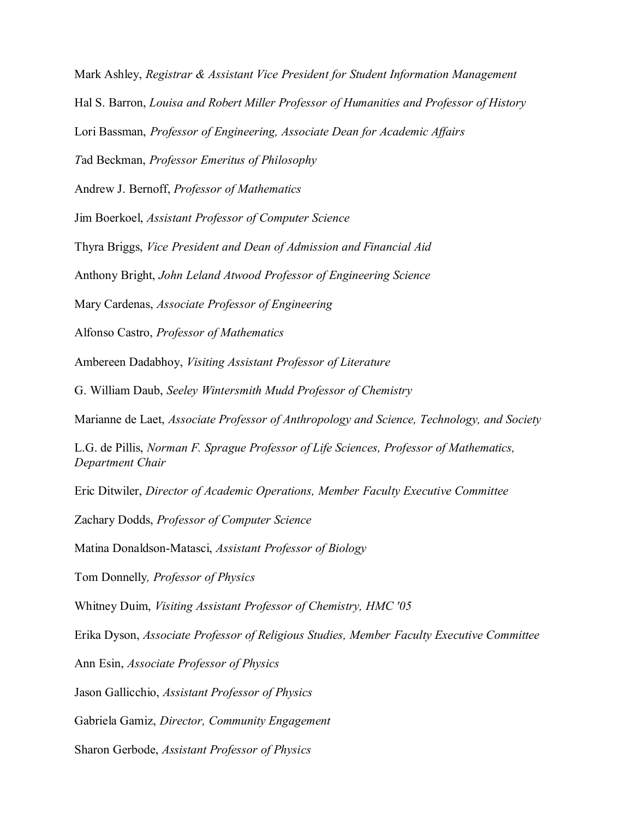Mark Ashley, *Registrar & Assistant Vice President for Student Information Management*

Hal S. Barron, *Louisa and Robert Miller Professor of Humanities and Professor of History*

Lori Bassman, *Professor of Engineering, Associate Dean for Academic Affairs*

*T*ad Beckman, *Professor Emeritus of Philosophy*

Andrew J. Bernoff, *Professor of Mathematics*

Jim Boerkoel, *Assistant Professor of Computer Science*

Thyra Briggs, *Vice President and Dean of Admission and Financial Aid*

Anthony Bright, *John Leland Atwood Professor of Engineering Science*

Mary Cardenas, *Associate Professor of Engineering*

Alfonso Castro, *Professor of Mathematics*

Ambereen Dadabhoy, *Visiting Assistant Professor of Literature*

G. William Daub, *Seeley Wintersmith Mudd Professor of Chemistry*

Marianne de Laet, *Associate Professor of Anthropology and Science, Technology, and Society*

L.G. de Pillis, *Norman F. Sprague Professor of Life Sciences, Professor of Mathematics, Department Chair*

Eric Ditwiler, *Director of Academic Operations, Member Faculty Executive Committee*

Zachary Dodds, *Professor of Computer Science*

Matina Donaldson-Matasci, *Assistant Professor of Biology*

Tom Donnelly*, Professor of Physics*

Whitney Duim, *Visiting Assistant Professor of Chemistry, HMC '05*

Erika Dyson, *Associate Professor of Religious Studies, Member Faculty Executive Committee*

Ann Esin, *Associate Professor of Physics*

Jason Gallicchio, *Assistant Professor of Physics*

Gabriela Gamiz, *Director, Community Engagement* 

Sharon Gerbode, *Assistant Professor of Physics*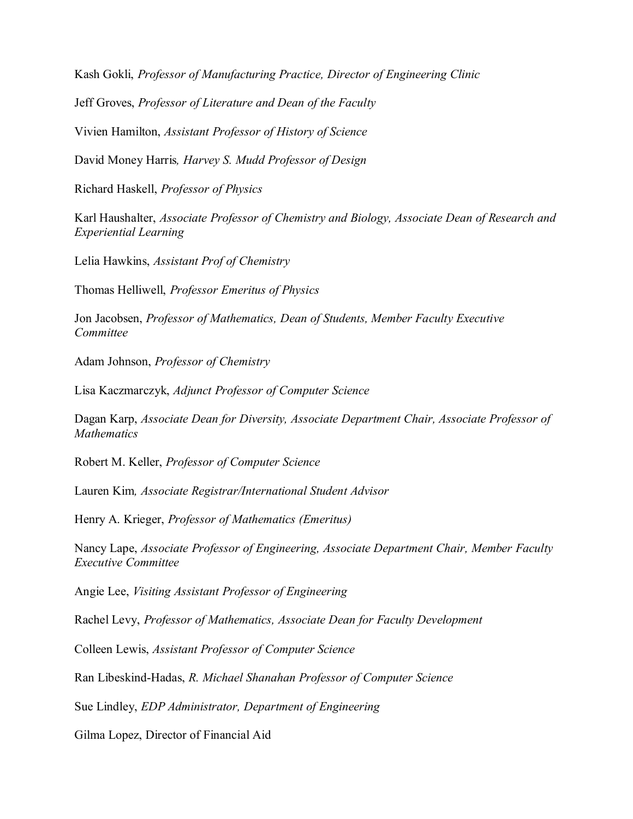Kash Gokli, *Professor of Manufacturing Practice, Director of Engineering Clinic* 

Jeff Groves, *Professor of Literature and Dean of the Faculty*

Vivien Hamilton, *Assistant Professor of History of Science*

David Money Harris*, Harvey S. Mudd Professor of Design*

Richard Haskell, *Professor of Physics*

Karl Haushalter, *Associate Professor of Chemistry and Biology, Associate Dean of Research and Experiential Learning*

Lelia Hawkins, *Assistant Prof of Chemistry*

Thomas Helliwell, *Professor Emeritus of Physics*

Jon Jacobsen, *Professor of Mathematics, Dean of Students, Member Faculty Executive Committee*

Adam Johnson, *Professor of Chemistry*

Lisa Kaczmarczyk, *Adjunct Professor of Computer Science*

Dagan Karp, *Associate Dean for Diversity, Associate Department Chair, Associate Professor of Mathematics*

Robert M. Keller, *Professor of Computer Science*

Lauren Kim*, Associate Registrar/International Student Advisor*

Henry A. Krieger, *Professor of Mathematics (Emeritus)*

Nancy Lape, *Associate Professor of Engineering, Associate Department Chair, Member Faculty Executive Committee*

Angie Lee, *Visiting Assistant Professor of Engineering*

Rachel Levy, *Professor of Mathematics, Associate Dean for Faculty Development*

Colleen Lewis, *Assistant Professor of Computer Science*

Ran Libeskind-Hadas, *R. Michael Shanahan Professor of Computer Science*

Sue Lindley, *EDP Administrator, Department of Engineering*

Gilma Lopez, Director of Financial Aid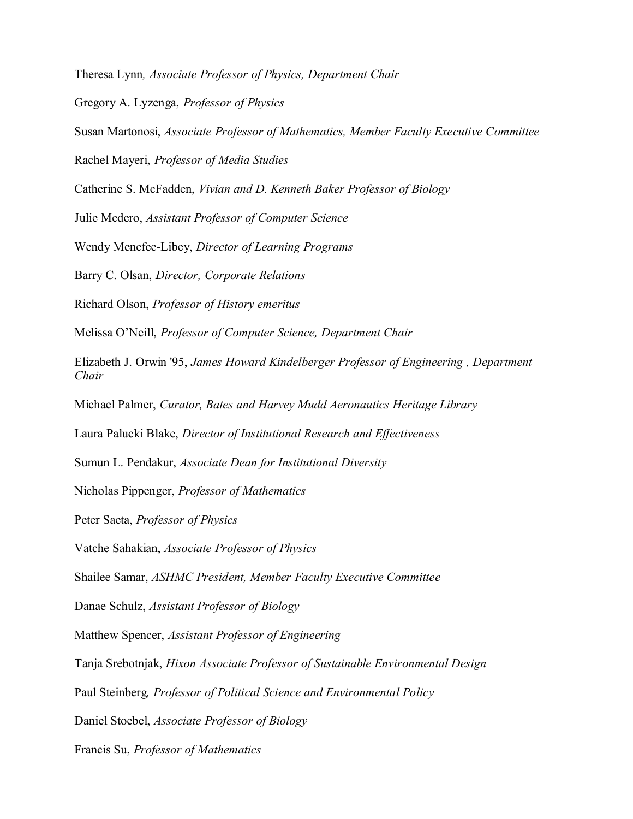Theresa Lynn*, Associate Professor of Physics, Department Chair*

Gregory A. Lyzenga, *Professor of Physics*

Susan Martonosi, *Associate Professor of Mathematics, Member Faculty Executive Committee*

Rachel Mayeri, *Professor of Media Studies*

Catherine S. McFadden, *Vivian and D. Kenneth Baker Professor of Biology*

Julie Medero, *Assistant Professor of Computer Science*

Wendy Menefee-Libey, *Director of Learning Programs*

Barry C. Olsan, *Director, Corporate Relations*

Richard Olson, *Professor of History emeritus*

Melissa O'Neill, *Professor of Computer Science, Department Chair*

Elizabeth J. Orwin '95, *James Howard Kindelberger Professor of Engineering , Department Chair*

Michael Palmer, *Curator, Bates and Harvey Mudd Aeronautics Heritage Library*

Laura Palucki Blake, *Director of Institutional Research and Effectiveness*

Sumun L. Pendakur, *Associate Dean for Institutional Diversity*

Nicholas Pippenger, *Professor of Mathematics*

Peter Saeta, *Professor of Physics*

Vatche Sahakian, *Associate Professor of Physics*

Shailee Samar, *ASHMC President, Member Faculty Executive Committee*

Danae Schulz, *Assistant Professor of Biology*

Matthew Spencer, *Assistant Professor of Engineering*

Tanja Srebotnjak, *Hixon Associate Professor of Sustainable Environmental Design*

Paul Steinberg*, Professor of Political Science and Environmental Policy*

Daniel Stoebel, *Associate Professor of Biology*

Francis Su, *Professor of Mathematics*